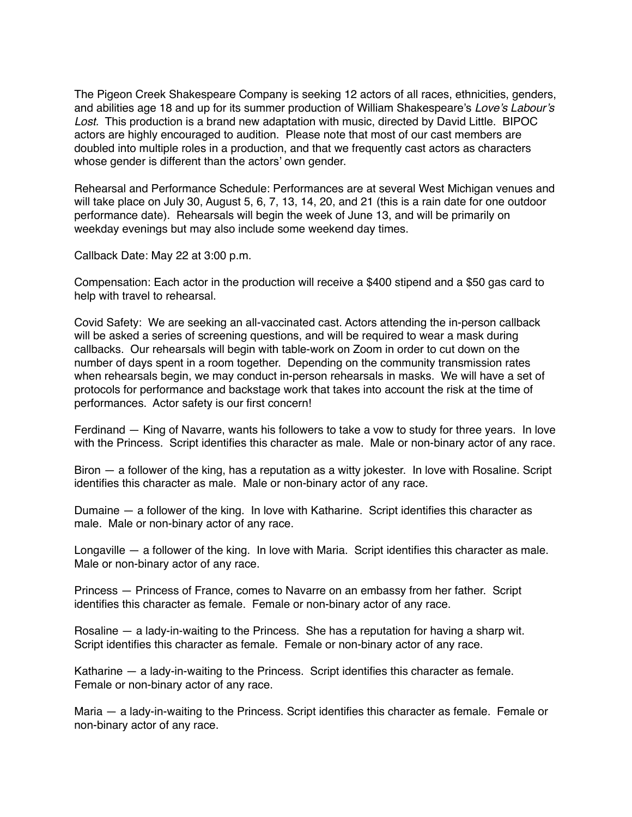The Pigeon Creek Shakespeare Company is seeking 12 actors of all races, ethnicities, genders, and abilities age 18 and up for its summer production of William Shakespeare's *Love's Labour's Lost.* This production is a brand new adaptation with music, directed by David Little. BIPOC actors are highly encouraged to audition. Please note that most of our cast members are doubled into multiple roles in a production, and that we frequently cast actors as characters whose gender is different than the actors' own gender.

Rehearsal and Performance Schedule: Performances are at several West Michigan venues and will take place on July 30, August 5, 6, 7, 13, 14, 20, and 21 (this is a rain date for one outdoor performance date). Rehearsals will begin the week of June 13, and will be primarily on weekday evenings but may also include some weekend day times.

Callback Date: May 22 at 3:00 p.m.

Compensation: Each actor in the production will receive a \$400 stipend and a \$50 gas card to help with travel to rehearsal.

Covid Safety: We are seeking an all-vaccinated cast. Actors attending the in-person callback will be asked a series of screening questions, and will be required to wear a mask during callbacks. Our rehearsals will begin with table-work on Zoom in order to cut down on the number of days spent in a room together. Depending on the community transmission rates when rehearsals begin, we may conduct in-person rehearsals in masks. We will have a set of protocols for performance and backstage work that takes into account the risk at the time of performances. Actor safety is our first concern!

Ferdinand — King of Navarre, wants his followers to take a vow to study for three years. In love with the Princess. Script identifies this character as male. Male or non-binary actor of any race.

Biron — a follower of the king, has a reputation as a witty jokester. In love with Rosaline. Script identifies this character as male. Male or non-binary actor of any race.

Dumaine — a follower of the king. In love with Katharine. Script identifies this character as male. Male or non-binary actor of any race.

Longaville — a follower of the king. In love with Maria. Script identifies this character as male. Male or non-binary actor of any race.

Princess — Princess of France, comes to Navarre on an embassy from her father. Script identifies this character as female. Female or non-binary actor of any race.

Rosaline — a lady-in-waiting to the Princess. She has a reputation for having a sharp wit. Script identifies this character as female. Female or non-binary actor of any race.

Katharine — a lady-in-waiting to the Princess. Script identifies this character as female. Female or non-binary actor of any race.

Maria – a lady-in-waiting to the Princess. Script identifies this character as female. Female or non-binary actor of any race.